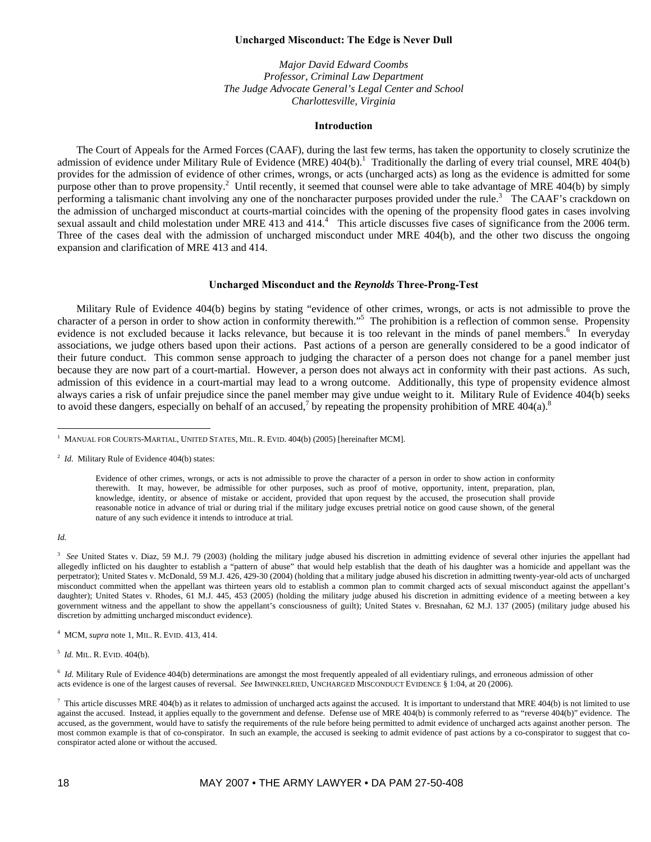## **Uncharged Misconduct: The Edge is Never Dull**

*Major David Edward Coombs Professor, Criminal Law Department The Judge Advocate General's Legal Center and School Charlottesville, Virginia* 

### **Introduction**

The Court of Appeals for the Armed Forces (CAAF), during the last few terms, has taken the opportunity to closely scrutinize the admission of evidence under Military Rule of Evidence (MRE)  $404(b)$ .<sup>1</sup> Traditionally the darling of every trial counsel, MRE  $404(b)$ provides for the admission of evidence of other crimes, wrongs, or acts (uncharged acts) as long as the evidence is admitted for some purpose other than to prove propensity.<sup>2</sup> Until recently, it seemed that counsel were able to take advantage of MRE 404(b) by simply performing a talismanic chant involving any one of the noncharacter purposes provided under the rule.<sup>3</sup> The CAAF's crackdown on the admission of uncharged misconduct at courts-martial coincides with the opening of the propensity flood gates in cases involving sexual assault and child molestation under MRE 413 and 414. $4$  This article discusses five cases of significance from the 2006 term. Three of the cases deal with the admission of uncharged misconduct under MRE 404(b), and the other two discuss the ongoing expansion and clarification of MRE 413 and 414.

### **Uncharged Misconduct and the** *Reynolds* **Three-Prong-Test**

Military Rule of Evidence 404(b) begins by stating "evidence of other crimes, wrongs, or acts is not admissible to prove the character of a person in order to show action in conformity therewith."<sup>5</sup> The prohibition is a reflection of common sense. Propensity evidence is not excluded because it lacks relevance, but because it is too relevant in the minds of panel members.<sup>6</sup> In everyday associations, we judge others based upon their actions. Past actions of a person are generally considered to be a good indicator of their future conduct. This common sense approach to judging the character of a person does not change for a panel member just because they are now part of a court-martial. However, a person does not always act in conformity with their past actions. As such, admission of this evidence in a court-martial may lead to a wrong outcome. Additionally, this type of propensity evidence almost always caries a risk of unfair prejudice since the panel member may give undue weight to it. Military Rule of Evidence 404(b) seeks to avoid these dangers, especially on behalf of an accused,<sup>7</sup> by repeating the propensity prohibition of MRE 404(a).<sup>8</sup>

*Id.* 

 $\overline{a}$ 

<sup>1</sup> MANUAL FOR COURTS-MARTIAL, UNITED STATES, MIL. R. EVID. 404(b) (2005) [hereinafter MCM].

<sup>&</sup>lt;sup>2</sup> *Id.* Military Rule of Evidence 404(b) states:

Evidence of other crimes, wrongs, or acts is not admissible to prove the character of a person in order to show action in conformity therewith. It may, however, be admissible for other purposes, such as proof of motive, opportunity, intent, preparation, plan, knowledge, identity, or absence of mistake or accident, provided that upon request by the accused, the prosecution shall provide reasonable notice in advance of trial or during trial if the military judge excuses pretrial notice on good cause shown, of the general nature of any such evidence it intends to introduce at trial.

<sup>&</sup>lt;sup>3</sup> See United States v. Diaz, 59 M.J. 79 (2003) (holding the military judge abused his discretion in admitting evidence of several other injuries the appellant had allegedly inflicted on his daughter to establish a "pattern of abuse" that would help establish that the death of his daughter was a homicide and appellant was the perpetrator); United States v. McDonald, 59 M.J. 426, 429-30 (2004) (holding that a military judge abused his discretion in admitting twenty-year-old acts of uncharged misconduct committed when the appellant was thirteen years old to establish a common plan to commit charged acts of sexual misconduct against the appellant's daughter); United States v. Rhodes, 61 M.J. 445, 453 (2005) (holding the military judge abused his discretion in admitting evidence of a meeting between a key government witness and the appellant to show the appellant's consciousness of guilt); United States v. Bresnahan, 62 M.J. 137 (2005) (military judge abused his discretion by admitting uncharged misconduct evidence).

<sup>4</sup> MCM, *supra* note 1, MIL. R. EVID. 413, 414.

<sup>5</sup> *Id.* MIL. R. EVID. 404(b).

<sup>&</sup>lt;sup>6</sup> *Id.* Military Rule of Evidence 404(b) determinations are amongst the most frequently appealed of all evidentiary rulings, and erroneous admission of other acts evidence is one of the largest causes of reversal. *See* IMWINKELRIED, UNCHARGED MISCONDUCT EVIDENCE § 1:04, at 20 (2006).

This article discusses MRE 404(b) as it relates to admission of uncharged acts against the accused. It is important to understand that MRE 404(b) is not limited to use against the accused. Instead, it applies equally to the government and defense. Defense use of MRE 404(b) is commonly referred to as "reverse 404(b)" evidence. The accused, as the government, would have to satisfy the requirements of the rule before being permitted to admit evidence of uncharged acts against another person. The most common example is that of co-conspirator. In such an example, the accused is seeking to admit evidence of past actions by a co-conspirator to suggest that coconspirator acted alone or without the accused.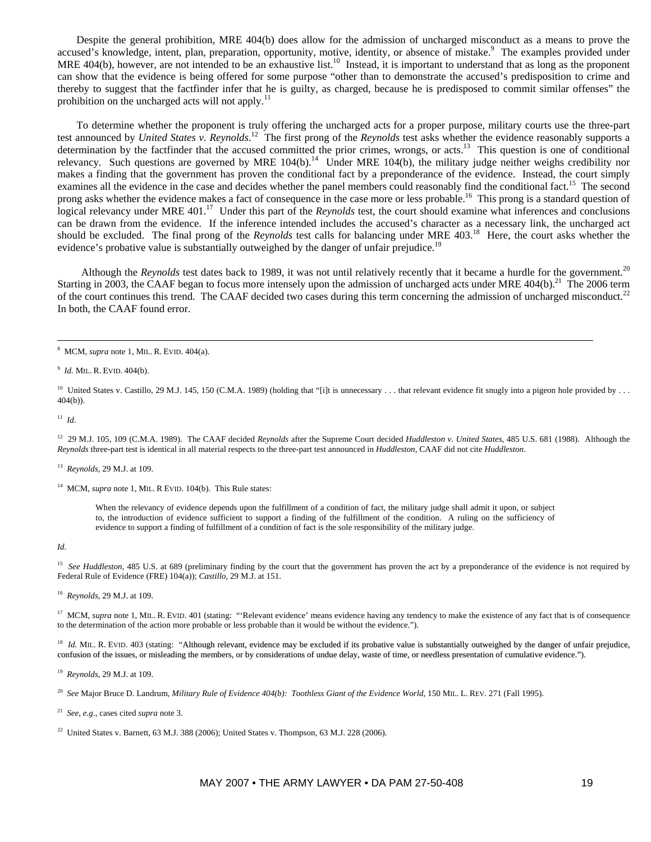Despite the general prohibition, MRE 404(b) does allow for the admission of uncharged misconduct as a means to prove the accused's knowledge, intent, plan, preparation, opportunity, motive, identity, or absence of mistake.<sup>9</sup> The examples provided under MRE 404(b), however, are not intended to be an exhaustive list.<sup>10</sup> Instead, it is important to understand that as long as the proponent can show that the evidence is being offered for some purpose "other than to demonstrate the accused's predisposition to crime and thereby to suggest that the factfinder infer that he is guilty, as charged, because he is predisposed to commit similar offenses" the prohibition on the uncharged acts will not apply.<sup>11</sup>

To determine whether the proponent is truly offering the uncharged acts for a proper purpose, military courts use the three-part test announced by *United States v. Reynolds*.<sup>12</sup> The first prong of the *Reynolds* test asks whether the evidence reasonably supports a determination by the factfinder that the accused committed the prior crimes, wrongs, or acts.<sup>13</sup> This question is one of conditional relevancy. Such questions are governed by MRE  $104(b)$ .<sup>14</sup> Under MRE 104(b), the military judge neither weighs credibility nor makes a finding that the government has proven the conditional fact by a preponderance of the evidence. Instead, the court simply examines all the evidence in the case and decides whether the panel members could reasonably find the conditional fact.<sup>15</sup> The second prong asks whether the evidence makes a fact of consequence in the case more or less probable.<sup>16</sup> This prong is a standard question of logical relevancy under MRE 401.<sup>17</sup> Under this part of the *Reynolds* test, the court should examine what inferences and conclusions can be drawn from the evidence. If the inference intended includes the accused's character as a necessary link, the uncharged act should be excluded. The final prong of the *Reynolds* test calls for balancing under MRE 403.18 Here, the court asks whether the evidence's probative value is substantially outweighed by the danger of unfair prejudice.<sup>19</sup>

Although the *Reynolds* test dates back to 1989, it was not until relatively recently that it became a hurdle for the government.<sup>20</sup> Starting in 2003, the CAAF began to focus more intensely upon the admission of uncharged acts under MRE  $404(b)$ .<sup>21</sup> The 2006 term of the court continues this trend. The CAAF decided two cases during this term concerning the admission of uncharged misconduct.<sup>22</sup> In both, the CAAF found error.

 $11$  *Id.* 

12 29 M.J. 105, 109 (C.M.A. 1989). The CAAF decided *Reynolds* after the Supreme Court decided *Huddleston v. United States*, 485 U.S. 681 (1988). Although the *Reynolds* three-part test is identical in all material respects to the three-part test announced in *Huddleston*, CAAF did not cite *Huddleston*.

13 *Reynolds*, 29 M.J. at 109.

<sup>14</sup> MCM, *supra* note 1, MIL. R EVID. 104(b). This Rule states:

When the relevancy of evidence depends upon the fulfillment of a condition of fact, the military judge shall admit it upon, or subject to, the introduction of evidence sufficient to support a finding of the fulfillment of the condition. A ruling on the sufficiency of evidence to support a finding of fulfillment of a condition of fact is the sole responsibility of the military judge.

*Id.* 

<sup>15</sup> See Huddleston, 485 U.S. at 689 (preliminary finding by the court that the government has proven the act by a preponderance of the evidence is not required by Federal Rule of Evidence (FRE) 104(a)); *Castillo*, 29 M.J. at 151.

16 *Reynolds*, 29 M.J. at 109.

<sup>17</sup> MCM, *supra* note 1, MIL. R. EVID. 401 (stating: "Relevant evidence' means evidence having any tendency to make the existence of any fact that is of consequence to the determination of the action more probable or less probable than it would be without the evidence.").

<sup>18</sup> *Id.* MIL. R. EVID. 403 (stating: "Although relevant, evidence may be excluded if its probative value is substantially outweighed by the danger of unfair prejudice, confusion of the issues, or misleading the members, or by considerations of undue delay, waste of time, or needless presentation of cumulative evidence.").

19 *Reynolds*, 29 M.J. at 109.

<sup>20</sup> *See* Major Bruce D. Landrum, *Military Rule of Evidence 404(b): Toothless Giant of the Evidence World*, 150 MIL. L. REV. 271 (Fall 1995).

21 *See, e.g*., cases cited *supra* note 3.

<sup>22</sup> United States v. Barnett,  $63$  M.J. 388 (2006); United States v. Thompson,  $63$  M.J. 228 (2006).

 $\frac{1}{8}$ MCM, *supra* note 1, MIL. R. EVID. 404(a).

<sup>9</sup> *Id.* MIL. R. EVID. 404(b).

<sup>&</sup>lt;sup>10</sup> United States v. Castillo, 29 M.J. 145, 150 (C.M.A. 1989) (holding that "filt is unnecessary . . . that relevant evidence fit snugly into a pigeon hole provided by . . . 404(b)).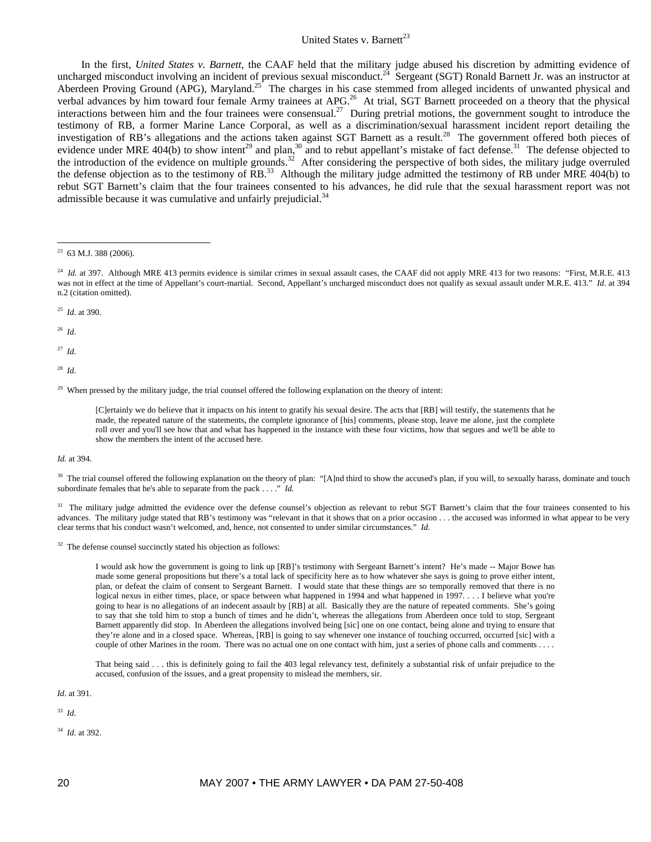# United States v. Barnett<sup>23</sup>

In the first, *United States v. Barnett*, the CAAF held that the military judge abused his discretion by admitting evidence of uncharged misconduct involving an incident of previous sexual misconduct.<sup>24</sup> Sergeant (SGT) Ronald Barnett Jr. was an instructor at Aberdeen Proving Ground (APG), Maryland.<sup>25</sup> The charges in his case stemmed from alleged incidents of unwanted physical and verbal advances by him toward four female Army trainees at APG.<sup>26</sup> At trial, SGT Barnett proceeded on a theory that the physical interactions between him and the four trainees were consensual.<sup>27</sup> During pretrial motions, the government sought to introduce the testimony of RB, a former Marine Lance Corporal, as well as a discrimination/sexual harassment incident report detailing the investigation of RB's allegations and the actions taken against SGT Barnett as a result.<sup>28</sup> The government offered both pieces of evidence under MRE 404(b) to show intent<sup>29</sup> and plan,<sup>30</sup> and to rebut appellant's mistake of fact defense.<sup>31</sup> The defense objected to the introduction of the evidence on multiple grounds.<sup>32</sup> After considering the perspective of both sides, the military judge overruled the defense objection as to the testimony of RB.<sup>33</sup> Although the military judge admitted the testimony of RB under MRE 404(b) to rebut SGT Barnett's claim that the four trainees consented to his advances, he did rule that the sexual harassment report was not admissible because it was cumulative and unfairly prejudicial.<sup>34</sup>

25 *Id*. at 390.

26 *Id*.

 $\overline{a}$ 

27 *Id*.

28 *Id*.

<sup>29</sup> When pressed by the military judge, the trial counsel offered the following explanation on the theory of intent:

[C]ertainly we do believe that it impacts on his intent to gratify his sexual desire. The acts that [RB] will testify, the statements that he made, the repeated nature of the statements, the complete ignorance of [his] comments, please stop, leave me alone, just the complete roll over and you'll see how that and what has happened in the instance with these four victims, how that segues and we'll be able to show the members the intent of the accused here.

#### *Id.* at 394.

<sup>30</sup> The trial counsel offered the following explanation on the theory of plan: "[A]nd third to show the accused's plan, if you will, to sexually harass, dominate and touch subordinate females that he's able to separate from the pack . . . ." *Id.*

<sup>31</sup> The military judge admitted the evidence over the defense counsel's objection as relevant to rebut SGT Barnett's claim that the four trainees consented to his advances. The military judge stated that RB's testimony was "relevant in that it shows that on a prior occasion . . . the accused was informed in what appear to be very clear terms that his conduct wasn't welcomed, and, hence, not consented to under similar circumstances." *Id*.

<sup>32</sup> The defense counsel succinctly stated his objection as follows:

I would ask how the government is going to link up [RB]'s testimony with Sergeant Barnett's intent? He's made -- Major Bowe has made some general propositions but there's a total lack of specificity here as to how whatever she says is going to prove either intent, plan, or defeat the claim of consent to Sergeant Barnett. I would state that these things are so temporally removed that there is no logical nexus in either times, place, or space between what happened in 1994 and what happened in 1997. . . . I believe what you're going to hear is no allegations of an indecent assault by [RB] at all. Basically they are the nature of repeated comments. She's going to say that she told him to stop a bunch of times and he didn't, whereas the allegations from Aberdeen once told to stop, Sergeant Barnett apparently did stop. In Aberdeen the allegations involved being [sic] one on one contact, being alone and trying to ensure that they're alone and in a closed space. Whereas, [RB] is going to say whenever one instance of touching occurred, occurred [sic] with a couple of other Marines in the room. There was no actual one on one contact with him, just a series of phone calls and comments . . . .

That being said . . . this is definitely going to fail the 403 legal relevancy test, definitely a substantial risk of unfair prejudice to the accused, confusion of the issues, and a great propensity to mislead the members, sir.

*Id*. at 391.

33 *Id*.

34 *Id*. at 392.

 $23$  63 M.J. 388 (2006).

 $^{24}$  *Id.* at 397. Although MRE 413 permits evidence is similar crimes in sexual assault cases, the CAAF did not apply MRE 413 for two reasons: "First, M.R.E. 413 was not in effect at the time of Appellant's court-martial. Second, Appellant's uncharged misconduct does not qualify as sexual assault under M.R.E. 413." *Id*. at 394 n.2 (citation omitted).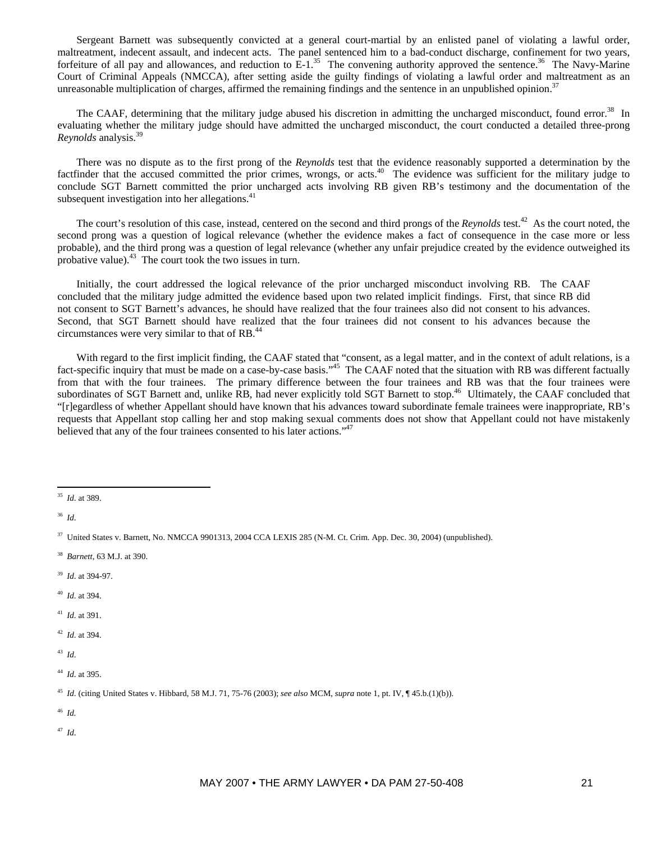Sergeant Barnett was subsequently convicted at a general court-martial by an enlisted panel of violating a lawful order, maltreatment, indecent assault, and indecent acts. The panel sentenced him to a bad-conduct discharge, confinement for two years, forfeiture of all pay and allowances, and reduction to  $E-1$ <sup>35</sup>. The convening authority approved the sentence.<sup>36</sup> The Navy-Marine Court of Criminal Appeals (NMCCA), after setting aside the guilty findings of violating a lawful order and maltreatment as an unreasonable multiplication of charges, affirmed the remaining findings and the sentence in an unpublished opinion.<sup>37</sup>

The CAAF, determining that the military judge abused his discretion in admitting the uncharged misconduct, found error.<sup>38</sup> In evaluating whether the military judge should have admitted the uncharged misconduct, the court conducted a detailed three-prong *Reynolds* analysis.39

There was no dispute as to the first prong of the *Reynolds* test that the evidence reasonably supported a determination by the factfinder that the accused committed the prior crimes, wrongs, or acts.40 The evidence was sufficient for the military judge to conclude SGT Barnett committed the prior uncharged acts involving RB given RB's testimony and the documentation of the subsequent investigation into her allegations.<sup>41</sup>

The court's resolution of this case, instead, centered on the second and third prongs of the *Reynolds* test.<sup>42</sup> As the court noted, the second prong was a question of logical relevance (whether the evidence makes a fact of consequence in the case more or less probable), and the third prong was a question of legal relevance (whether any unfair prejudice created by the evidence outweighed its probative value). $43$  The court took the two issues in turn.

Initially, the court addressed the logical relevance of the prior uncharged misconduct involving RB. The CAAF concluded that the military judge admitted the evidence based upon two related implicit findings. First, that since RB did not consent to SGT Barnett's advances, he should have realized that the four trainees also did not consent to his advances. Second, that SGT Barnett should have realized that the four trainees did not consent to his advances because the circumstances were very similar to that of RB.44

With regard to the first implicit finding, the CAAF stated that "consent, as a legal matter, and in the context of adult relations, is a fact-specific inquiry that must be made on a case-by-case basis."<sup>45</sup> The CAAF noted that the situation with RB was different factually from that with the four trainees. The primary difference between the four trainees and RB was that the four trainees were subordinates of SGT Barnett and, unlike RB, had never explicitly told SGT Barnett to stop.<sup>46</sup> Ultimately, the CAAF concluded that "[r]egardless of whether Appellant should have known that his advances toward subordinate female trainees were inappropriate, RB's requests that Appellant stop calling her and stop making sexual comments does not show that Appellant could not have mistakenly believed that any of the four trainees consented to his later actions."<sup>47</sup>

- 39 *Id*. at 394-97.
- 40 *Id*. at 394.
- 41 *Id*. at 391.
- 42 *Id*. at 394.
- 43 *Id*.

46 *Id.*

 $\overline{a}$ 35 *Id*. at 389.

<sup>36</sup> *Id*.

<sup>37</sup> United States v. Barnett, No. NMCCA 9901313, 2004 CCA LEXIS 285 (N-M. Ct. Crim. App. Dec. 30, 2004) (unpublished).

<sup>38</sup> *Barnett*, 63 M.J. at 390.

<sup>44</sup> *Id*. at 395.

<sup>45</sup> *Id*. (citing United States v. Hibbard, 58 M.J. 71, 75-76 (2003); *see also* MCM, *supra* note 1, pt. IV, ¶ 45.b.(1)(b)).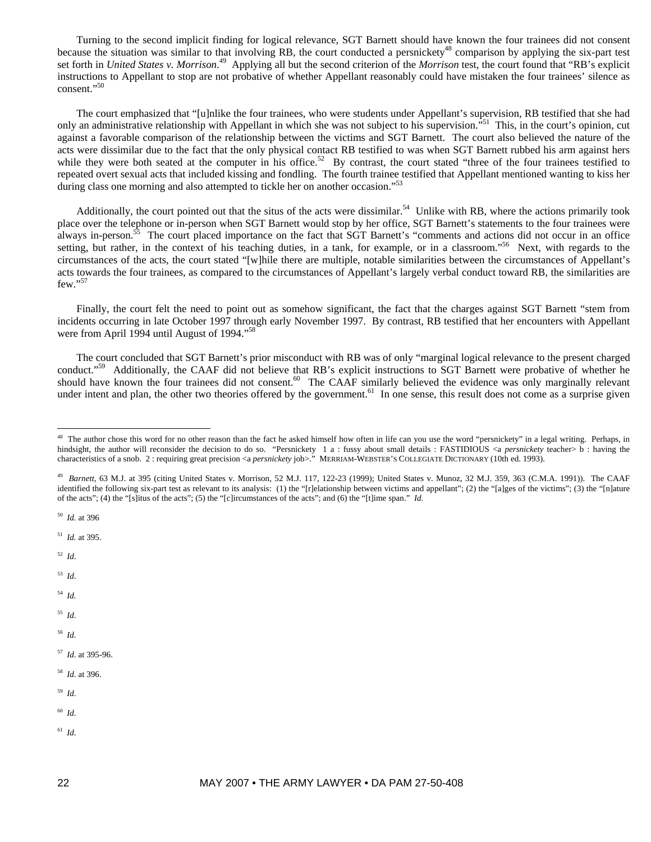Turning to the second implicit finding for logical relevance, SGT Barnett should have known the four trainees did not consent because the situation was similar to that involving RB, the court conducted a persnickety<sup>48</sup> comparison by applying the six-part test set forth in *United States v. Morrison*. 49 Applying all but the second criterion of the *Morrison* test, the court found that "RB's explicit instructions to Appellant to stop are not probative of whether Appellant reasonably could have mistaken the four trainees' silence as consent."<sup>50</sup>

The court emphasized that "[u]nlike the four trainees, who were students under Appellant's supervision, RB testified that she had only an administrative relationship with Appellant in which she was not subject to his supervision.<sup>"51</sup> This, in the court's opinion, cut against a favorable comparison of the relationship between the victims and SGT Barnett. The court also believed the nature of the acts were dissimilar due to the fact that the only physical contact RB testified to was when SGT Barnett rubbed his arm against hers while they were both seated at the computer in his office.<sup>52</sup> By contrast, the court stated "three of the four trainees testified to repeated overt sexual acts that included kissing and fondling. The fourth trainee testified that Appellant mentioned wanting to kiss her during class one morning and also attempted to tickle her on another occasion."<sup>53</sup>

Additionally, the court pointed out that the situs of the acts were dissimilar.<sup>54</sup> Unlike with RB, where the actions primarily took place over the telephone or in-person when SGT Barnett would stop by her office, SGT Barnett's statements to the four trainees were always in-person.<sup>55</sup> The court placed importance on the fact that SGT Barnett's "comments and actions did not occur in an office setting, but rather, in the context of his teaching duties, in a tank, for example, or in a classroom."<sup>56</sup> Next, with regards to the circumstances of the acts, the court stated "[w]hile there are multiple, notable similarities between the circumstances of Appellant's acts towards the four trainees, as compared to the circumstances of Appellant's largely verbal conduct toward RB, the similarities are few."57

Finally, the court felt the need to point out as somehow significant, the fact that the charges against SGT Barnett "stem from incidents occurring in late October 1997 through early November 1997. By contrast, RB testified that her encounters with Appellant were from April 1994 until August of 1994."58

The court concluded that SGT Barnett's prior misconduct with RB was of only "marginal logical relevance to the present charged conduct.<sup>"59</sup> Additionally, the CAAF did not believe that RB's explicit instructions to SGT Barnett were probative of whether he should have known the four trainees did not consent.<sup>60</sup> The CAAF similarly believed the evidence was only marginally relevant under intent and plan, the other two theories offered by the government.<sup>61</sup> In one sense, this result does not come as a surprise given

50 *Id.* at 396

51 *Id.* at 395.

52 *Id*.

 $\overline{a}$ 

- 54 *Id.*
- 55 *Id*.
- 56 *Id*.
- 57 *Id*. at 395-96.
- 58 *Id*. at 396.
- 59 *Id*.
- 60 *Id*.
- 61 *Id*.

<sup>&</sup>lt;sup>48</sup> The author chose this word for no other reason than the fact he asked himself how often in life can you use the word "persnickety" in a legal writing. Perhaps, in hindsight, the author will reconsider the decision to do so. "Persnickety 1 a : fussy about small details : FASTIDIOUS <a *persnickety* teacher> b : having the characteristics of a snob. 2 : requiring great precision <a *persnickety* job>." MERRIAM-WEBSTER'S COLLEGIATE DICTIONARY (10th ed. 1993).

<sup>49</sup> *Barnett*, 63 M.J. at 395 (citing United States v. Morrison, 52 M.J. 117, 122-23 (1999); United States v. Munoz, 32 M.J. 359, 363 (C.M.A. 1991)). The CAAF identified the following six-part test as relevant to its analysis: (1) the "[r]elationship between victims and appellant"; (2) the "[a]ges of the victims"; (3) the "[n]ature of the acts"; (4) the "[s]itus of the acts"; (5) the "[c]ircumstances of the acts"; and (6) the "[t]ime span." *Id.*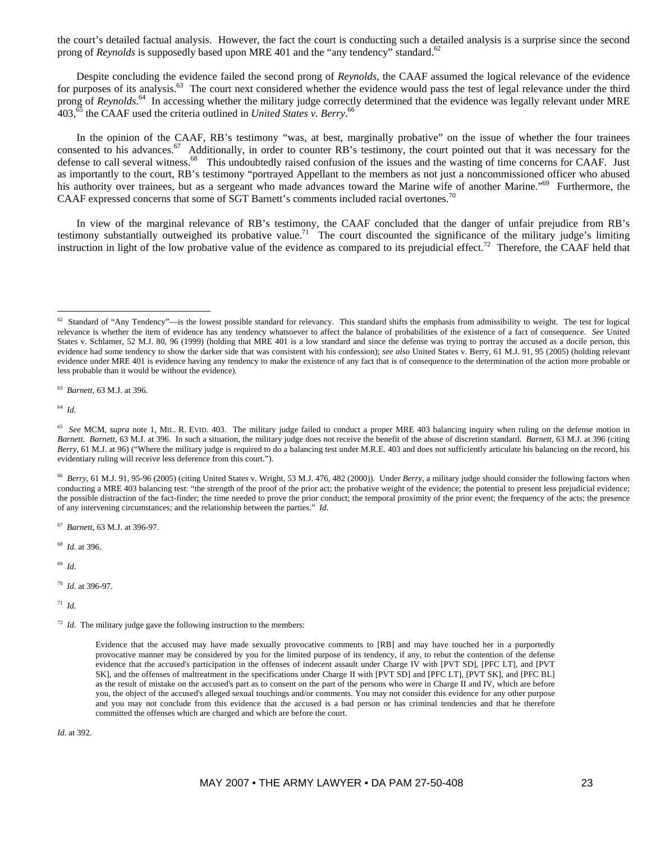the court's detailed factual analysis. However, the fact the court is conducting such a detailed analysis is a surprise since the second prong of *Reynolds* is supposedly based upon MRE 401 and the "any tendency" standard.<sup>62</sup>

Despite concluding the evidence failed the second prong of *Reynolds*, the CAAF assumed the logical relevance of the evidence for purposes of its analysis.<sup>63</sup> The court next considered whether the evidence would pass the test of legal relevance under the third prong of *Reynolds*.<sup>64</sup> In accessing whether the military judge correctly determined that the evidence was legally relevant under MRE  $403<sup>65</sup>$  the CAAF used the criteria outlined in *United States v. Berry*.<sup>66</sup>

In the opinion of the CAAF, RB's testimony "was, at best, marginally probative" on the issue of whether the four trainees consented to his advances.<sup>67</sup> Additionally, in order to counter RB's testimony, the court pointed out that it was necessary for the defense to call several witness.<sup>68</sup> This undoubtedly raised confusion of the issues and the wasting of time concerns for CAAF. Just as importantly to the court, RB's testimony "portrayed Appellant to the members as not just a noncommissioned officer who abused his authority over trainees, but as a sergeant who made advances toward the Marine wife of another Marine."<sup>69</sup> Furthermore, the CAAF expressed concerns that some of SGT Barnett's comments included racial overtones.70

In view of the marginal relevance of RB's testimony, the CAAF concluded that the danger of unfair prejudice from RB's testimony substantially outweighed its probative value.<sup>71</sup> The court discounted the significance of the military judge's limiting instruction in light of the low probative value of the evidence as compared to its prejudicial effect.<sup>72</sup> Therefore, the CAAF held that

63 *Barnett*, 63 M.J. at 396.

64 *Id*.

 $\overline{a}$ 

66 *Berry*, 61 M.J. 91, 95-96 (2005) (citing United States v. Wright, 53 M.J. 476, 482 (2000)). Under *Berry*, a military judge should consider the following factors when conducting a MRE 403 balancing test: "the strength of the proof of the prior act; the probative weight of the evidence; the potential to present less prejudicial evidence; the possible distraction of the fact-finder; the time needed to prove the prior conduct; the temporal proximity of the prior event; the frequency of the acts; the presence of any intervening circumstances; and the relationship between the parties." *Id*.

67 *Barnett*, 63 M.J. at 396-97.

68 *Id*. at 396.

69 *Id*.

70 *Id*. at 396-97.

71 *Id*.

*Id*. at 392.

 $62$  Standard of "Any Tendency"—is the lowest possible standard for relevancy. This standard shifts the emphasis from admissibility to weight. The test for logical relevance is whether the item of evidence has any tendency whatsoever to affect the balance of probabilities of the existence of a fact of consequence. *See* United States v. Schlamer, 52 M.J. 80, 96 (1999) (holding that MRE 401 is a low standard and since the defense was trying to portray the accused as a docile person, this evidence had some tendency to show the darker side that was consistent with his confession); *see also* United States v. Berry, 61 M.J. 91, 95 (2005) (holding relevant evidence under MRE 401 is evidence having any tendency to make the existence of any fact that is of consequence to the determination of the action more probable or less probable than it would be without the evidence).

<sup>&</sup>lt;sup>65</sup> See MCM, *supra* note 1, MIL. R. EVID. 403. The military judge failed to conduct a proper MRE 403 balancing inquiry when ruling on the defense motion in *Barnett*. *Barnett*, 63 M.J. at 396. In such a situation, the military judge does not receive the benefit of the abuse of discretion standard. *Barnett*, 63 M.J. at 396 (citing *Berry*, 61 M.J. at 96) ("Where the military judge is required to do a balancing test under M.R.E. 403 and does not sufficiently articulate his balancing on the record, his evidentiary ruling will receive less deference from this court.").

<sup>&</sup>lt;sup>72</sup> *Id*. The military judge gave the following instruction to the members:

Evidence that the accused may have made sexually provocative comments to [RB] and may have touched her in a purportedly provocative manner may be considered by you for the limited purpose of its tendency, if any, to rebut the contention of the defense evidence that the accused's participation in the offenses of indecent assault under Charge IV with [PVT SD], [PFC LT], and [PVT SK], and the offenses of maltreatment in the specifications under Charge II with [PVT SD] and [PFC LT], [PVT SK], and [PFC BL] as the result of mistake on the accused's part as to consent on the part of the persons who were in Charge II and IV, which are before you, the object of the accused's alleged sexual touchings and/or comments. You may not consider this evidence for any other purpose and you may not conclude from this evidence that the accused is a bad person or has criminal tendencies and that he therefore committed the offenses which are charged and which are before the court.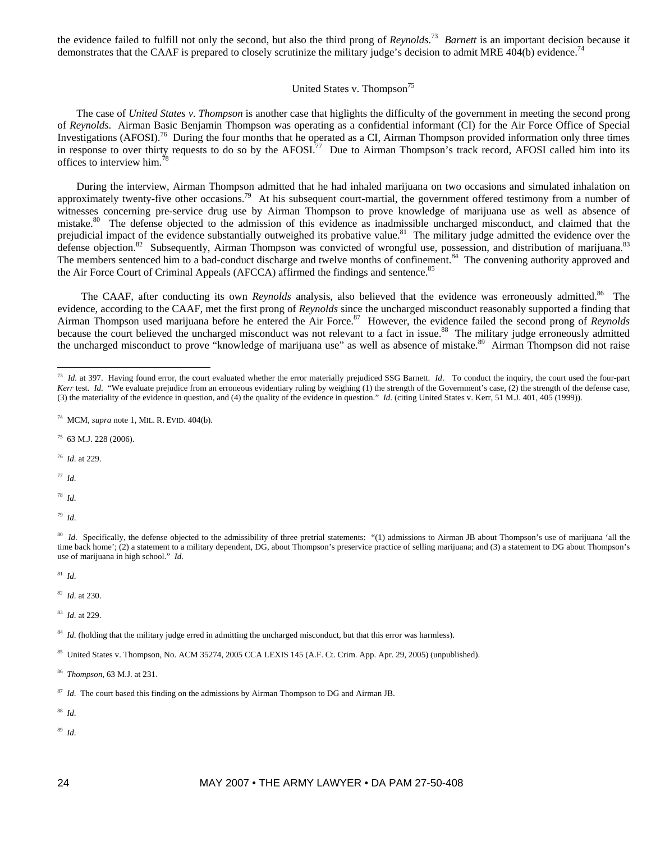the evidence failed to fulfill not only the second, but also the third prong of *Reynolds*. 73 *Barnett* is an important decision because it demonstrates that the CAAF is prepared to closely scrutinize the military judge's decision to admit MRE 404(b) evidence.<sup>74</sup>

## United States v. Thompson<sup>75</sup>

The case of *United States v. Thompson* is another case that higlights the difficulty of the government in meeting the second prong of *Reynolds*. Airman Basic Benjamin Thompson was operating as a confidential informant (CI) for the Air Force Office of Special Investigations (AFOSI).<sup>76</sup> During the four months that he operated as a CI, Airman Thompson provided information only three times in response to over thirty requests to do so by the AFOSI.<sup>77</sup> Due to Airman Thompson's track record, AFOSI called him into its offices to interview him.78

During the interview, Airman Thompson admitted that he had inhaled marijuana on two occasions and simulated inhalation on approximately twenty-five other occasions.<sup>79</sup> At his subsequent court-martial, the government offered testimony from a number of witnesses concerning pre-service drug use by Airman Thompson to prove knowledge of marijuana use as well as absence of mistake.<sup>80</sup> The defense objected to the admission of this evidence as inadmissible uncharged misconduct, and claimed that the prejudicial impact of the evidence substantially outweighed its probative value.<sup>81</sup> The military judge admitted the evidence over the defense objection.<sup>82</sup> Subsequently, Airman Thompson was convicted of wrongful use, possession, and distribution of marijuana.<sup>83</sup> The members sentenced him to a bad-conduct discharge and twelve months of confinement.<sup>84</sup> The convening authority approved and the Air Force Court of Criminal Appeals (AFCCA) affirmed the findings and sentence.<sup>85</sup>

The CAAF, after conducting its own *Reynolds* analysis, also believed that the evidence was erroneously admitted.<sup>86</sup> The evidence, according to the CAAF, met the first prong of *Reynolds* since the uncharged misconduct reasonably supported a finding that Airman Thompson used marijuana before he entered the Air Force.<sup>87</sup> However, the evidence failed the second prong of *Reynolds* because the court believed the uncharged misconduct was not relevant to a fact in issue.<sup>88</sup> The military judge erroneously admitted the uncharged misconduct to prove "knowledge of marijuana use" as well as absence of mistake.<sup>89</sup> Airman Thompson did not raise

- 75 63 M.J. 228 (2006).
- 76 *Id*. at 229.

77 *Id*.

 $\overline{a}$ 

- 78 *Id*.
- 79 *Id*.

81 *Id*.

82 *Id*. at 230.

83 *Id*. at 229.

88 *Id*.

<sup>&</sup>lt;sup>73</sup> *Id.* at 397. Having found error, the court evaluated whether the error materially prejudiced SSG Barnett. *Id.* To conduct the inquiry, the court used the four-part *Kerr* test. *Id*. "We evaluate prejudice from an erroneous evidentiary ruling by weighing (1) the strength of the Government's case, (2) the strength of the defense case, (3) the materiality of the evidence in question, and (4) the quality of the evidence in question." *Id*. (citing United States v. Kerr, 51 M.J. 401, 405 (1999)).

<sup>74</sup> MCM, *supra* note 1, MIL. R. EVID. 404(b).

<sup>&</sup>lt;sup>80</sup> *Id.* Specifically, the defense objected to the admissibility of three pretrial statements: "(1) admissions to Airman JB about Thompson's use of marijuana 'all the time back home'; (2) a statement to a military dependent, DG, about Thompson's preservice practice of selling marijuana; and (3) a statement to DG about Thompson's use of marijuana in high school." *Id*.

<sup>&</sup>lt;sup>84</sup> *Id.* (holding that the military judge erred in admitting the uncharged misconduct, but that this error was harmless).

<sup>85</sup> United States v. Thompson, No. ACM 35274, 2005 CCA LEXIS 145 (A.F. Ct. Crim. App. Apr. 29, 2005) (unpublished).

<sup>86</sup> *Thompson*, 63 M.J. at 231.

<sup>&</sup>lt;sup>87</sup> *Id*. The court based this finding on the admissions by Airman Thompson to DG and Airman JB.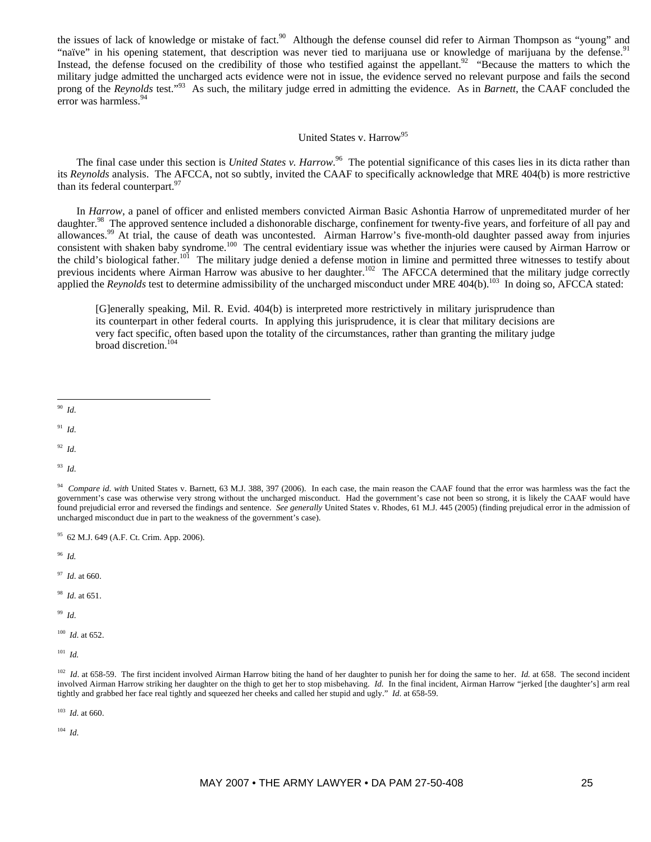the issues of lack of knowledge or mistake of fact.<sup>90</sup> Although the defense counsel did refer to Airman Thompson as "young" and "naïve" in his opening statement, that description was never tied to marijuana use or knowledge of marijuana by the defense.<sup>91</sup> Instead, the defense focused on the credibility of those who testified against the appellant.<sup>92</sup> "Because the matters to which the military judge admitted the uncharged acts evidence were not in issue, the evidence served no relevant purpose and fails the second prong of the *Reynolds* test."<sup>93</sup> As such, the military judge erred in admitting the evidence. As in *Barnett*, the CAAF concluded the error was harmless.<sup>94</sup>

# United States v. Harrow<sup>95</sup>

The final case under this section is *United States v. Harrow*.<sup>96</sup> The potential significance of this cases lies in its dicta rather than its *Reynolds* analysis. The AFCCA, not so subtly, invited the CAAF to specifically acknowledge that MRE 404(b) is more restrictive than its federal counterpart.<sup>9</sup>

In *Harrow*, a panel of officer and enlisted members convicted Airman Basic Ashontia Harrow of unpremeditated murder of her daughter.<sup>98</sup> The approved sentence included a dishonorable discharge, confinement for twenty-five years, and forfeiture of all pay and allowances.99 At trial, the cause of death was uncontested. Airman Harrow's five-month-old daughter passed away from injuries consistent with shaken baby syndrome.<sup>100</sup> The central evidentiary issue was whether the injuries were caused by Airman Harrow or the child's biological father.<sup>101</sup> The military judge denied a defense motion in limine and permitted three witnesses to testify about previous incidents where Airman Harrow was abusive to her daughter.<sup>102</sup> The AFCCA determined that the military judge correctly applied the *Reynolds* test to determine admissibility of the uncharged misconduct under MRE 404(b).<sup>103</sup> In doing so, AFCCA stated:

[G]enerally speaking, Mil. R. Evid. 404(b) is interpreted more restrictively in military jurisprudence than its counterpart in other federal courts. In applying this jurisprudence, it is clear that military decisions are very fact specific, often based upon the totality of the circumstances, rather than granting the military judge broad discretion.104

91 *Id*.

92 *Id*.

93 *Id*.

95 62 M.J. 649 (A.F. Ct. Crim. App. 2006).

96 *Id.* 

97 *Id*. at 660.

98 *Id*. at 651.

99 *Id*.

100 *Id*. at 652.

 $101$  *Id.* 

103 *Id*. at 660.

 $\overline{a}$ 90 *Id*.

<sup>&</sup>lt;sup>94</sup> *Compare id. with* United States v. Barnett, 63 M.J. 388, 397 (2006). In each case, the main reason the CAAF found that the error was harmless was the fact the government's case was otherwise very strong without the uncharged misconduct. Had the government's case not been so strong, it is likely the CAAF would have found prejudicial error and reversed the findings and sentence. *See generally* United States v. Rhodes, 61 M.J. 445 (2005) (finding prejudical error in the admission of uncharged misconduct due in part to the weakness of the government's case).

<sup>&</sup>lt;sup>102</sup> *Id.* at 658-59. The first incident involved Airman Harrow biting the hand of her daughter to punish her for doing the same to her. *Id.* at 658. The second incident involved Airman Harrow striking her daughter on the thigh to get her to stop misbehaving. *Id.* In the final incident, Airman Harrow "jerked [the daughter's] arm real tightly and grabbed her face real tightly and squeezed her cheeks and called her stupid and ugly." *Id*. at 658-59.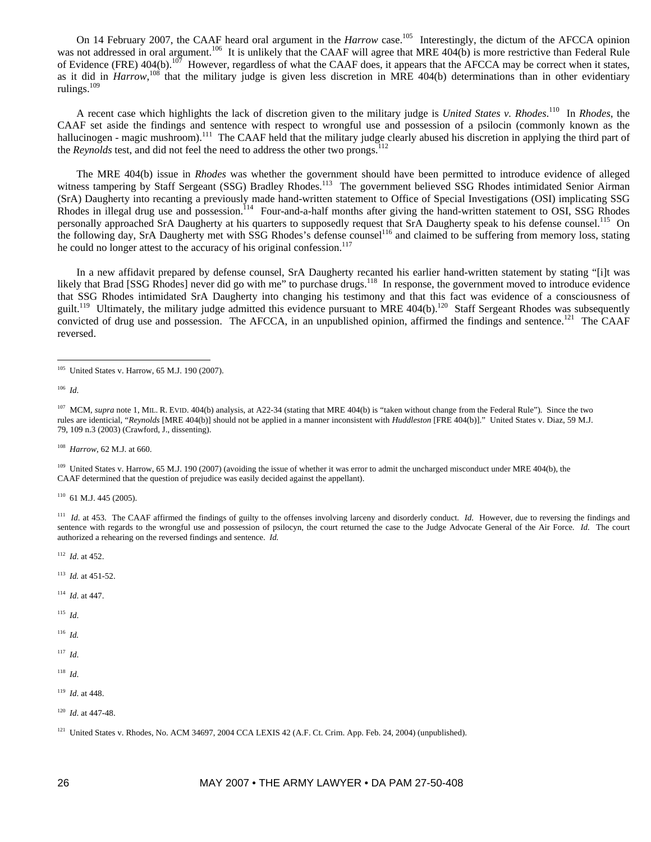On 14 February 2007, the CAAF heard oral argument in the *Harrow* case.<sup>105</sup> Interestingly, the dictum of the AFCCA opinion was not addressed in oral argument.<sup>106</sup> It is unlikely that the CAAF will agree that MRE 404(b) is more restrictive than Federal Rule of Evidence (FRE)  $404(b)$ .<sup>107</sup> However, regardless of what the CAAF does, it appears that the AFCCA may be correct when it states, as it did in *Harrow*,<sup>108</sup> that the military judge is given less discretion in MRE 404(b) determinations than in other evidentiary rulings.109

A recent case which highlights the lack of discretion given to the military judge is *United States v. Rhodes*. 110 In *Rhodes*, the CAAF set aside the findings and sentence with respect to wrongful use and possession of a psilocin (commonly known as the hallucinogen - magic mushroom).<sup>111</sup> The CAAF held that the military judge clearly abused his discretion in applying the third part of the *Reynolds* test, and did not feel the need to address the other two prongs.<sup>112</sup>

The MRE 404(b) issue in *Rhodes* was whether the government should have been permitted to introduce evidence of alleged witness tampering by Staff Sergeant (SSG) Bradley Rhodes.<sup>113</sup> The government believed SSG Rhodes intimidated Senior Airman (SrA) Daugherty into recanting a previously made hand-written statement to Office of Special Investigations (OSI) implicating SSG Rhodes in illegal drug use and possession.<sup>114</sup> Four-and-a-half months after giving the hand-written statement to OSI, SSG Rhodes personally approached SrA Daugherty at his quarters to supposedly request that SrA Daugherty speak to his defense counsel.<sup>115</sup> On the following day, SrA Daugherty met with SSG Rhodes's defense counsel<sup>116</sup> and claimed to be suffering from memory loss, stating he could no longer attest to the accuracy of his original confession.<sup>117</sup>

In a new affidavit prepared by defense counsel, SrA Daugherty recanted his earlier hand-written statement by stating "[i]t was likely that Brad [SSG Rhodes] never did go with me" to purchase drugs.<sup>118</sup> In response, the government moved to introduce evidence that SSG Rhodes intimidated SrA Daugherty into changing his testimony and that this fact was evidence of a consciousness of guilt.<sup>119</sup> Ultimately, the military judge admitted this evidence pursuant to MRE 404(b).<sup>120</sup> Staff Sergeant Rhodes was subsequently convicted of drug use and possession. The AFCCA, in an unpublished opinion, affirmed the findings and sentence.<sup>121</sup> The CAAF reversed.

 $\overline{a}$ 

108 *Harrow*, 62 M.J. at 660.

<sup>109</sup> United States v. Harrow, 65 M.J. 190 (2007) (avoiding the issue of whether it was error to admit the uncharged misconduct under MRE 404(b), the CAAF determined that the question of prejudice was easily decided against the appellant).

 $110$  61 M.J. 445 (2005).

<sup>111</sup> *Id.* at 453. The CAAF affirmed the findings of guilty to the offenses involving larceny and disorderly conduct. *Id.* However, due to reversing the findings and sentence with regards to the wrongful use and possession of psilocyn, the court returned the case to the Judge Advocate General of the Air Force. *Id.* The court authorized a rehearing on the reversed findings and sentence. *Id.* 

112 *Id*. at 452.

- 113 *Id.* at 451-52.
- 114 *Id*. at 447.
- 115 *Id*.

116 *Id.*

117 *Id*.

- 119 *Id*. at 448.
- 120 *Id*. at 447-48.

<sup>&</sup>lt;sup>105</sup> United States v. Harrow, 65 M.J. 190 (2007).

<sup>106</sup> *Id*.

<sup>&</sup>lt;sup>107</sup> MCM, *supra* note 1, MIL. R. EVID. 404(b) analysis, at A22-34 (stating that MRE 404(b) is "taken without change from the Federal Rule"). Since the two rules are identicial, "*Reynolds* [MRE 404(b)] should not be applied in a manner inconsistent with *Huddleston* [FRE 404(b)]." United States v. Diaz, 59 M.J. 79, 109 n.3 (2003) (Crawford, J., dissenting).

 $121$  United States v. Rhodes, No. ACM 34697, 2004 CCA LEXIS 42 (A.F. Ct. Crim. App. Feb. 24, 2004) (unpublished).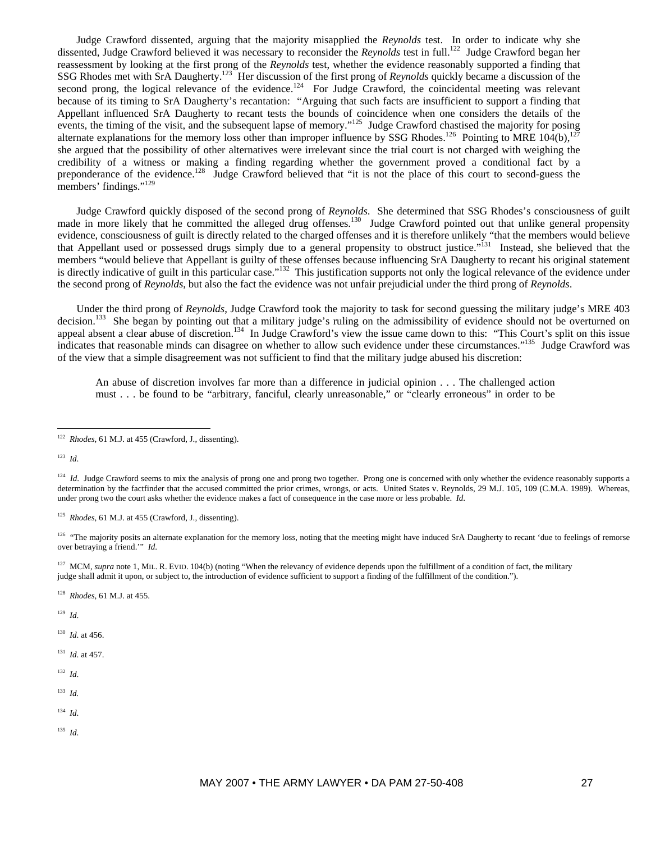Judge Crawford dissented, arguing that the majority misapplied the *Reynolds* test. In order to indicate why she dissented, Judge Crawford believed it was necessary to reconsider the *Reynolds* test in full.<sup>122</sup> Judge Crawford began her reassessment by looking at the first prong of the *Reynolds* test, whether the evidence reasonably supported a finding that SSG Rhodes met with SrA Daugherty.<sup>123</sup> Her discussion of the first prong of *Reynolds* quickly became a discussion of the second prong, the logical relevance of the evidence.<sup>124</sup> For Judge Crawford, the coincidental meeting was relevant because of its timing to SrA Daugherty's recantation: "Arguing that such facts are insufficient to support a finding that Appellant influenced SrA Daugherty to recant tests the bounds of coincidence when one considers the details of the events, the timing of the visit, and the subsequent lapse of memory."<sup>125</sup> Judge Crawford chastised the majority for posing alternate explanations for the memory loss other than improper influence by SSG Rhodes.<sup>126</sup> Pointing to MRE 104(b),<sup>127</sup> she argued that the possibility of other alternatives were irrelevant since the trial court is not charged with weighing the credibility of a witness or making a finding regarding whether the government proved a conditional fact by a preponderance of the evidence.<sup>128</sup> Judge Crawford believed that "it is not the place of this court to second-guess the members' findings."<sup>129</sup>

Judge Crawford quickly disposed of the second prong of *Reynolds*. She determined that SSG Rhodes's consciousness of guilt made in more likely that he committed the alleged drug offenses.<sup>130</sup> Judge Crawford pointed out that unlike general propensity evidence, consciousness of guilt is directly related to the charged offenses and it is therefore unlikely "that the members would believe that Appellant used or possessed drugs simply due to a general propensity to obstruct justice."<sup>131</sup> Instead, she believed that the members "would believe that Appellant is guilty of these offenses because influencing SrA Daugherty to recant his original statement is directly indicative of guilt in this particular case."<sup>132</sup> This justification supports not only the logical relevance of the evidence under the second prong of *Reynolds*, but also the fact the evidence was not unfair prejudicial under the third prong of *Reynolds*.

Under the third prong of *Reynolds*, Judge Crawford took the majority to task for second guessing the military judge's MRE 403 decision.<sup>133</sup> She began by pointing out that a military judge's ruling on the admissibility of evidence should not be overturned on appeal absent a clear abuse of discretion.<sup>134</sup> In Judge Crawford's view the issue came down to this: "This Court's split on this issue indicates that reasonable minds can disagree on whether to allow such evidence under these circumstances."<sup>135</sup> Judge Crawford was of the view that a simple disagreement was not sufficient to find that the military judge abused his discretion:

An abuse of discretion involves far more than a difference in judicial opinion . . . The challenged action must . . . be found to be "arbitrary, fanciful, clearly unreasonable," or "clearly erroneous" in order to be

123 *Id*.

 $\overline{a}$ 

125 *Rhodes*, 61 M.J. at 455 (Crawford, J., dissenting).

<sup>126</sup> "The majority posits an alternate explanation for the memory loss, noting that the meeting might have induced SrA Daugherty to recant 'due to feelings of remorse over betraying a friend.'" *Id*.

<sup>127</sup> MCM, *supra* note 1, MIL. R. EVID. 104(b) (noting "When the relevancy of evidence depends upon the fulfillment of a condition of fact, the military judge shall admit it upon, or subject to, the introduction of evidence sufficient to support a finding of the fulfillment of the condition.").

128 *Rhodes*, 61 M.J. at 455.

129 *Id*.

 $130$  *Id.* at 456.

131 *Id*. at 457.

- 133 *Id.*
- 134 *Id*.
- 135 *Id*.

<sup>122</sup> *Rhodes*, 61 M.J. at 455 (Crawford, J., dissenting).

<sup>&</sup>lt;sup>124</sup> *Id.* Judge Crawford seems to mix the analysis of prong one and prong two together. Prong one is concerned with only whether the evidence reasonably supports a determination by the factfinder that the accused committed the prior crimes, wrongs, or acts. United States v. Reynolds, 29 M.J. 105, 109 (C.M.A. 1989). Whereas, under prong two the court asks whether the evidence makes a fact of consequence in the case more or less probable. *Id*.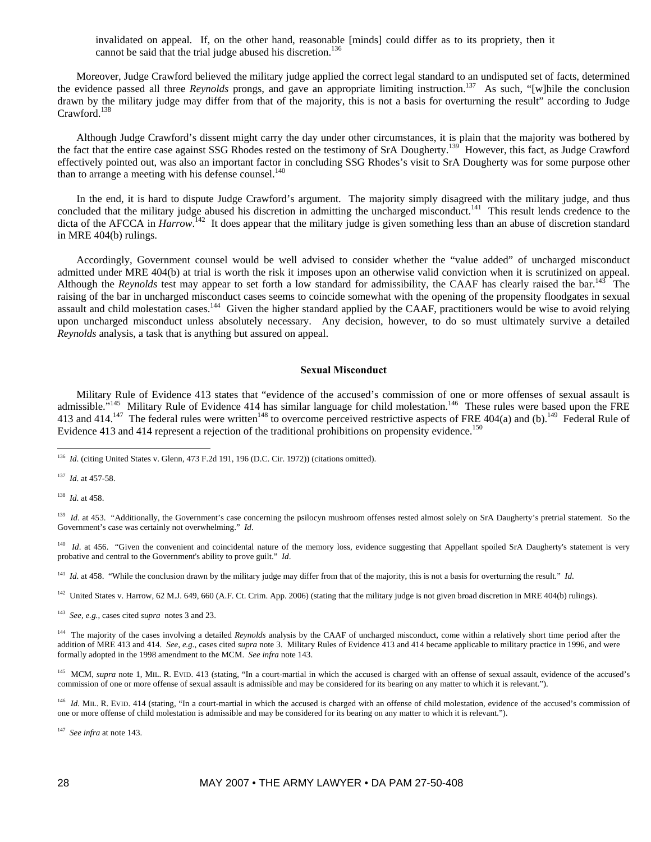invalidated on appeal. If, on the other hand, reasonable [minds] could differ as to its propriety, then it cannot be said that the trial judge abused his discretion.<sup>136</sup>

Moreover, Judge Crawford believed the military judge applied the correct legal standard to an undisputed set of facts, determined the evidence passed all three *Reynolds* prongs, and gave an appropriate limiting instruction.137 As such, "[w]hile the conclusion drawn by the military judge may differ from that of the majority, this is not a basis for overturning the result" according to Judge Crawford.138

Although Judge Crawford's dissent might carry the day under other circumstances, it is plain that the majority was bothered by the fact that the entire case against SSG Rhodes rested on the testimony of SrA Dougherty.<sup>139</sup> However, this fact, as Judge Crawford effectively pointed out, was also an important factor in concluding SSG Rhodes's visit to SrA Dougherty was for some purpose other than to arrange a meeting with his defense counsel. $140$ 

In the end, it is hard to dispute Judge Crawford's argument. The majority simply disagreed with the military judge, and thus concluded that the military judge abused his discretion in admitting the uncharged misconduct.<sup>141</sup> This result lends credence to the dicta of the AFCCA in *Harrow*.<sup>142</sup> It does appear that the military judge is given something less than an abuse of discretion standard in MRE 404(b) rulings.

Accordingly, Government counsel would be well advised to consider whether the "value added" of uncharged misconduct admitted under MRE 404(b) at trial is worth the risk it imposes upon an otherwise valid conviction when it is scrutinized on appeal. Although the *Reynolds* test may appear to set forth a low standard for admissibility, the CAAF has clearly raised the bar.<sup>145</sup> The raising of the bar in uncharged misconduct cases seems to coincide somewhat with the opening of the propensity floodgates in sexual assault and child molestation cases.<sup>144</sup> Given the higher standard applied by the CAAF, practitioners would be wise to avoid relying upon uncharged misconduct unless absolutely necessary. Any decision, however, to do so must ultimately survive a detailed *Reynolds* analysis, a task that is anything but assured on appeal.

## **Sexual Misconduct**

Military Rule of Evidence 413 states that "evidence of the accused's commission of one or more offenses of sexual assault is admissible.<sup>"145</sup> Military Rule of Evidence 414 has similar language for child molestation.<sup>146</sup> These rules were based upon the FRE 413 and 414.<sup>147</sup> The federal rules were written<sup>148</sup> to overcome perceived restrictive aspects of FRE 404(a) and (b).<sup>149</sup> Federal Rule of Evidence 413 and 414 represent a rejection of the traditional prohibitions on propensity evidence.<sup>150</sup>

137 *Id*. at 457-58.

138 *Id*. at 458.

 $\overline{a}$ 

<sup>139</sup> *Id.* at 453. "Additionally, the Government's case concerning the psilocyn mushroom offenses rested almost solely on SrA Daugherty's pretrial statement. So the Government's case was certainly not overwhelming." *Id*.

<sup>140</sup> *Id.* at 456. "Given the convenient and coincidental nature of the memory loss, evidence suggesting that Appellant spoiled SrA Daugherty's statement is very probative and central to the Government's ability to prove guilt." *Id*.

<sup>141</sup> *Id.* at 458. "While the conclusion drawn by the military judge may differ from that of the majority, this is not a basis for overturning the result." *Id.* 

<sup>142</sup> United States v. Harrow, 62 M.J. 649, 660 (A.F. Ct. Crim. App. 2006) (stating that the military judge is not given broad discretion in MRE 404(b) rulings).

143 *See, e.g.*, cases cited *supra* notes 3 and 23.

<sup>144</sup> The majority of the cases involving a detailed *Reynolds* analysis by the CAAF of uncharged misconduct, come within a relatively short time period after the addition of MRE 413 and 414. *See, e.g.*, cases cited *supra* note 3. Military Rules of Evidence 413 and 414 became applicable to military practice in 1996, and were formally adopted in the 1998 amendment to the MCM. *See infra* note 143.

<sup>145</sup> MCM, *supra* note 1, MIL. R. EVID. 413 (stating, "In a court-martial in which the accused is charged with an offense of sexual assault, evidence of the accused's commission of one or more offense of sexual assault is admissible and may be considered for its bearing on any matter to which it is relevant.").

<sup>146</sup> *Id.* MIL. R. EVID. 414 (stating, "In a court-martial in which the accused is charged with an offense of child molestation, evidence of the accused's commission of one or more offense of child molestation is admissible and may be considered for its bearing on any matter to which it is relevant.").

147 *See infra* at note 143.

<sup>&</sup>lt;sup>136</sup> *Id.* (citing United States v. Glenn, 473 F.2d 191, 196 (D.C. Cir. 1972)) (citations omitted).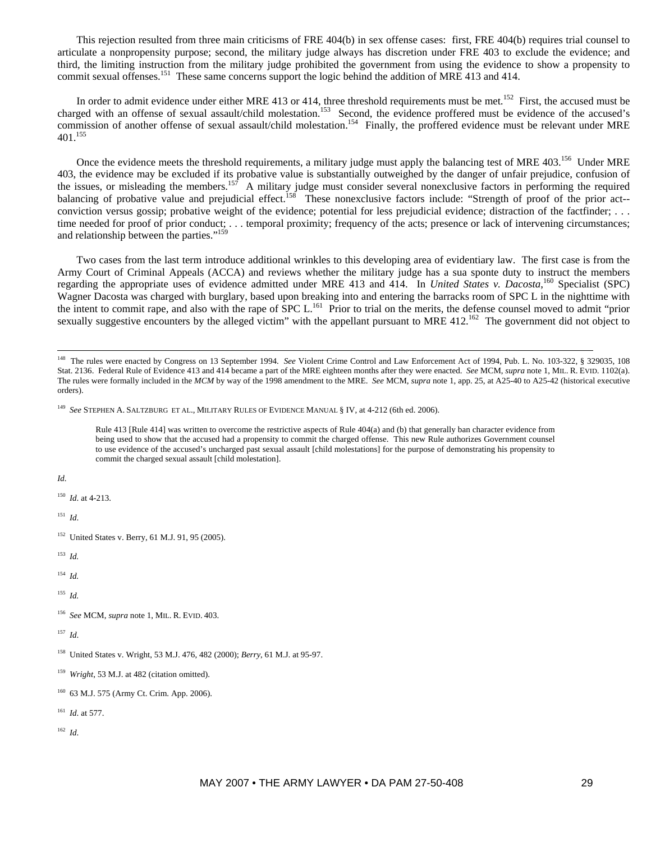This rejection resulted from three main criticisms of FRE 404(b) in sex offense cases: first, FRE 404(b) requires trial counsel to articulate a nonpropensity purpose; second, the military judge always has discretion under FRE 403 to exclude the evidence; and third, the limiting instruction from the military judge prohibited the government from using the evidence to show a propensity to commit sexual offenses.<sup>151</sup> These same concerns support the logic behind the addition of MRE 413 and 414.

In order to admit evidence under either MRE 413 or 414, three threshold requirements must be met.<sup>152</sup> First, the accused must be charged with an offense of sexual assault/child molestation.<sup>153</sup> Second, the evidence proffered must be evidence of the accused's commission of another offense of sexual assault/child molestation.<sup>154</sup> Finally, the proffered evidence must be relevant under MRE 401.155

Once the evidence meets the threshold requirements, a military judge must apply the balancing test of MRE 403.<sup>156</sup> Under MRE 403, the evidence may be excluded if its probative value is substantially outweighed by the danger of unfair prejudice, confusion of the issues, or misleading the members.<sup>157</sup> A military judge must consider several nonexclusive factors in performing the required balancing of probative value and prejudicial effect.<sup>158</sup> These nonexclusive factors include: "Strength of proof of the prior act-conviction versus gossip; probative weight of the evidence; potential for less prejudicial evidence; distraction of the factfinder; . . . time needed for proof of prior conduct; . . . temporal proximity; frequency of the acts; presence or lack of intervening circumstances; and relationship between the parties."159

Two cases from the last term introduce additional wrinkles to this developing area of evidentiary law. The first case is from the Army Court of Criminal Appeals (ACCA) and reviews whether the military judge has a sua sponte duty to instruct the members regarding the appropriate uses of evidence admitted under MRE 413 and 414. In *United States v. Dacosta*,<sup>160</sup> Specialist (SPC) Wagner Dacosta was charged with burglary, based upon breaking into and entering the barracks room of SPC L in the nighttime with the intent to commit rape, and also with the rape of SPC L.<sup>161</sup> Prior to trial on the merits, the defense counsel moved to admit "prior sexually suggestive encounters by the alleged victim" with the appellant pursuant to MRE 412.<sup>162</sup> The government did not object to

Rule 413 [Rule 414] was written to overcome the restrictive aspects of Rule 404(a) and (b) that generally ban character evidence from being used to show that the accused had a propensity to commit the charged offense. This new Rule authorizes Government counsel to use evidence of the accused's uncharged past sexual assault [child molestations] for the purpose of demonstrating his propensity to commit the charged sexual assault [child molestation].

*Id*.

150 *Id*. at 4-213.

151 *Id*.

<sup>152</sup> United States v. Berry, 61 M.J. 91, 95 (2005).

153 *Id.*

154 *Id.*

155 *Id.*

156 *See* MCM, *supra* note 1, MIL. R. EVID. 403.

157 *Id*.

161 *Id*. at 577.

<sup>&</sup>lt;sup>148</sup> The rules were enacted by Congress on 13 September 1994. *See* Violent Crime Control and Law Enforcement Act of 1994, Pub. L. No. 103-322, § 329035, 108 Stat. 2136. Federal Rule of Evidence 413 and 414 became a part of the MRE eighteen months after they were enacted. *See* MCM, *supra* note 1, MIL. R. EVID. 1102(a). The rules were formally included in the *MCM* by way of the 1998 amendment to the MRE. *See* MCM, *supra* note 1, app. 25, at A25-40 to A25-42 (historical executive orders).

<sup>149</sup> *See* STEPHEN A. SALTZBURG ET AL., MILITARY RULES OF EVIDENCE MANUAL § IV, at 4-212 (6th ed. 2006).

<sup>158</sup> United States v. Wright, 53 M.J. 476, 482 (2000); *Berry*, 61 M.J. at 95-97.

<sup>159</sup> *Wright*, 53 M.J. at 482 (citation omitted).

<sup>160 63</sup> M.J. 575 (Army Ct. Crim. App. 2006).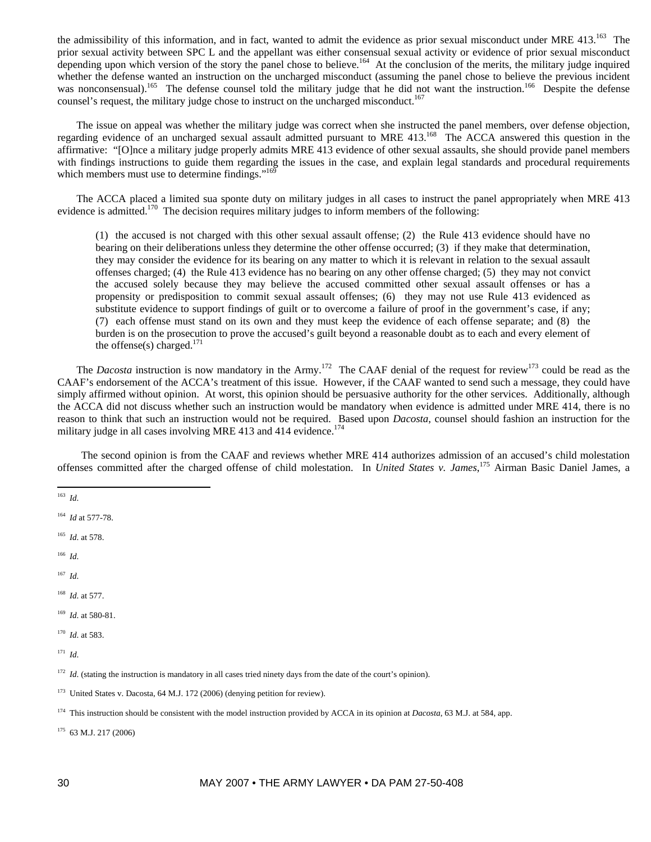the admissibility of this information, and in fact, wanted to admit the evidence as prior sexual misconduct under MRE  $413$ .<sup>163</sup> The prior sexual activity between SPC L and the appellant was either consensual sexual activity or evidence of prior sexual misconduct depending upon which version of the story the panel chose to believe.<sup>164</sup> At the conclusion of the merits, the military judge inquired whether the defense wanted an instruction on the uncharged misconduct (assuming the panel chose to believe the previous incident was nonconsensual).<sup>165</sup> The defense counsel told the military judge that he did not want the instruction.<sup>166</sup> Despite the defense counsel's request, the military judge chose to instruct on the uncharged misconduct.<sup>167</sup>

The issue on appeal was whether the military judge was correct when she instructed the panel members, over defense objection, regarding evidence of an uncharged sexual assault admitted pursuant to MRE 413.168 The ACCA answered this question in the affirmative: "[O]nce a military judge properly admits MRE 413 evidence of other sexual assaults, she should provide panel members with findings instructions to guide them regarding the issues in the case, and explain legal standards and procedural requirements which members must use to determine findings."<sup>16</sup>

The ACCA placed a limited sua sponte duty on military judges in all cases to instruct the panel appropriately when MRE 413 evidence is admitted.<sup>170</sup> The decision requires military judges to inform members of the following:

(1) the accused is not charged with this other sexual assault offense; (2) the Rule 413 evidence should have no bearing on their deliberations unless they determine the other offense occurred; (3) if they make that determination, they may consider the evidence for its bearing on any matter to which it is relevant in relation to the sexual assault offenses charged; (4) the Rule 413 evidence has no bearing on any other offense charged; (5) they may not convict the accused solely because they may believe the accused committed other sexual assault offenses or has a propensity or predisposition to commit sexual assault offenses; (6) they may not use Rule 413 evidenced as substitute evidence to support findings of guilt or to overcome a failure of proof in the government's case, if any; (7) each offense must stand on its own and they must keep the evidence of each offense separate; and (8) the burden is on the prosecution to prove the accused's guilt beyond a reasonable doubt as to each and every element of the offense(s) charged.<sup>171</sup>

The *Dacosta* instruction is now mandatory in the Army.<sup>172</sup> The CAAF denial of the request for review<sup>173</sup> could be read as the CAAF's endorsement of the ACCA's treatment of this issue. However, if the CAAF wanted to send such a message, they could have simply affirmed without opinion. At worst, this opinion should be persuasive authority for the other services. Additionally, although the ACCA did not discuss whether such an instruction would be mandatory when evidence is admitted under MRE 414, there is no reason to think that such an instruction would not be required. Based upon *Dacosta*, counsel should fashion an instruction for the military judge in all cases involving MRE 413 and 414 evidence.<sup>174</sup>

The second opinion is from the CAAF and reviews whether MRE 414 authorizes admission of an accused's child molestation offenses committed after the charged offense of child molestation. In *United States v. James*, 175 Airman Basic Daniel James, a

- 166 *Id*.
- 167 *Id*.
- 168 *Id*. at 577.
- 169 *Id*. at 580-81.
- 170 *Id*. at 583.
- 171 *Id*.

175 63 M.J. 217 (2006)

 $\overline{a}$ 163 *Id*.

<sup>164</sup> *Id* at 577-78.

<sup>165</sup> *Id*. at 578.

<sup>&</sup>lt;sup>172</sup> *Id*. (stating the instruction is mandatory in all cases tried ninety days from the date of the court's opinion).

<sup>&</sup>lt;sup>173</sup> United States v. Dacosta, 64 M.J. 172 (2006) (denying petition for review).

<sup>174</sup> This instruction should be consistent with the model instruction provided by ACCA in its opinion at *Dacosta*, 63 M.J. at 584, app.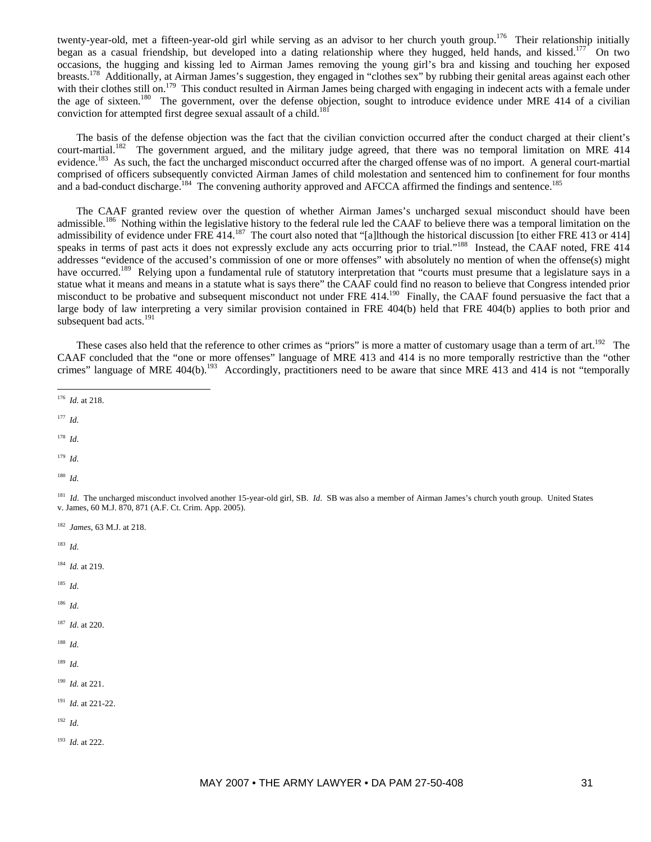twenty-year-old, met a fifteen-year-old girl while serving as an advisor to her church youth group.<sup>176</sup> Their relationship initially began as a casual friendship, but developed into a dating relationship where they hugged, held hands, and kissed.177 On two occasions, the hugging and kissing led to Airman James removing the young girl's bra and kissing and touching her exposed breasts.<sup>178</sup> Additionally, at Airman James's suggestion, they engaged in "clothes sex" by rubbing their genital areas against each other with their clothes still on.<sup>179</sup> This conduct resulted in Airman James being charged with engaging in indecent acts with a female under the age of sixteen.<sup>180</sup> The government, over the defense objection, sought to introduce evidence under MRE 414 of a civilian conviction for attempted first degree sexual assault of a child.<sup>18</sup>

The basis of the defense objection was the fact that the civilian conviction occurred after the conduct charged at their client's court-martial.<sup>182</sup> The government argued, and the military judge agreed, that there was no temporal limitation on MRE 414 evidence.<sup>183</sup> As such, the fact the uncharged misconduct occurred after the charged offense was of no import. A general court-martial comprised of officers subsequently convicted Airman James of child molestation and sentenced him to confinement for four months and a bad-conduct discharge.<sup>184</sup> The convening authority approved and AFCCA affirmed the findings and sentence.<sup>185</sup>

The CAAF granted review over the question of whether Airman James's uncharged sexual misconduct should have been admissible.<sup>186</sup> Nothing within the legislative history to the federal rule led the CAAF to believe there was a temporal limitation on the admissibility of evidence under FRE 414.<sup>187</sup> The court also noted that "[a]lthough the historical discussion [to either FRE 413 or 414] speaks in terms of past acts it does not expressly exclude any acts occurring prior to trial."<sup>188</sup> Instead, the CAAF noted, FRE 414 addresses "evidence of the accused's commission of one or more offenses" with absolutely no mention of when the offense(s) might have occurred.<sup>189</sup> Relying upon a fundamental rule of statutory interpretation that "courts must presume that a legislature says in a statue what it means and means in a statute what is says there" the CAAF could find no reason to believe that Congress intended prior misconduct to be probative and subsequent misconduct not under FRE 414.<sup>190</sup> Finally, the CAAF found persuasive the fact that a large body of law interpreting a very similar provision contained in FRE 404(b) held that FRE 404(b) applies to both prior and subsequent bad acts. $191$ 

These cases also held that the reference to other crimes as "priors" is more a matter of customary usage than a term of art.<sup>192</sup> The CAAF concluded that the "one or more offenses" language of MRE 413 and 414 is no more temporally restrictive than the "other crimes" language of MRE 404(b).<sup>193</sup> Accordingly, practitioners need to be aware that since MRE 413 and 414 is not "temporally

- $\overline{a}$ 176 *Id*. at 218.
- 177 *Id*.

178 *Id*.

179 *Id*.

180 *Id*.

<sup>181</sup> *Id*. The uncharged misconduct involved another 15-year-old girl, SB. *Id.* SB was also a member of Airman James's church youth group. United States v. James, 60 M.J. 870, 871 (A.F. Ct. Crim. App. 2005).

182 *James*, 63 M.J. at 218.

183 *Id*.

184 *Id.* at 219.

185 *Id*.

186 *Id*.

187 *Id*. at 220.

188 *Id*.

189 *Id*.

190 *Id*. at 221.

191 *Id*. at 221-22.

192 *Id*.

193 *Id*. at 222.